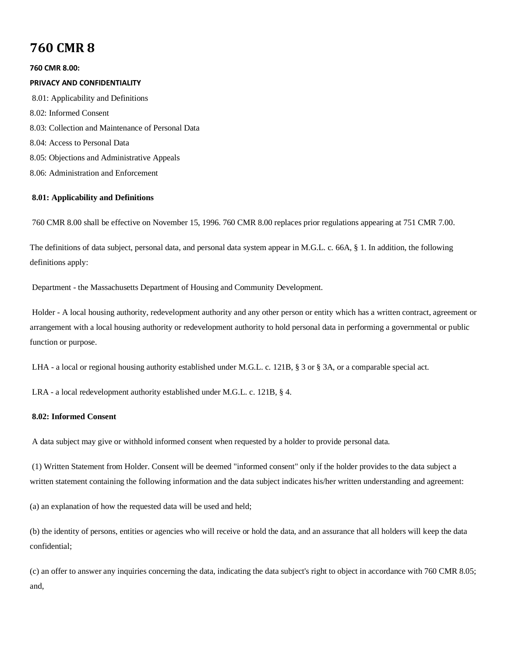# **760 CMR 8**

**760 CMR 8.00: PRIVACY AND CONFIDENTIALITY** 8.01: Applicability and Definitions 8.02: Informed Consent 8.03: Collection and Maintenance of Personal Data 8.04: Access to Personal Data 8.05: Objections and Administrative Appeals 8.06: Administration and Enforcement

## **8.01: Applicability and Definitions**

760 CMR 8.00 shall be effective on November 15, 1996. 760 CMR 8.00 replaces prior regulations appearing at 751 CMR 7.00.

The definitions of data subject, personal data, and personal data system appear in M.G.L. c. 66A, § 1. In addition, the following definitions apply:

Department - the Massachusetts Department of Housing and Community Development.

Holder - A local housing authority, redevelopment authority and any other person or entity which has a written contract, agreement or arrangement with a local housing authority or redevelopment authority to hold personal data in performing a governmental or public function or purpose.

LHA - a local or regional housing authority established under M.G.L. c. 121B, § 3 or § 3A, or a comparable special act.

LRA - a local redevelopment authority established under M.G.L. c. 121B, § 4.

## **8.02: Informed Consent**

A data subject may give or withhold informed consent when requested by a holder to provide personal data.

(1) Written Statement from Holder. Consent will be deemed "informed consent" only if the holder provides to the data subject a written statement containing the following information and the data subject indicates his/her written understanding and agreement:

(a) an explanation of how the requested data will be used and held;

(b) the identity of persons, entities or agencies who will receive or hold the data, and an assurance that all holders will keep the data confidential;

(c) an offer to answer any inquiries concerning the data, indicating the data subject's right to object in accordance with 760 CMR 8.05; and,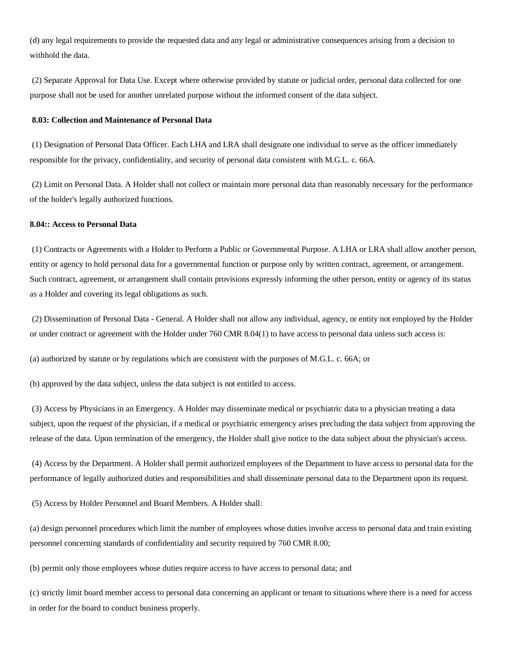(d) any legal requirements to provide the requested data and any legal or administrative consequences arising from a decision to withhold the data.

(2) Separate Approval for Data Use. Except where otherwise provided by statute or judicial order, personal data collected for one purpose shall not be used for another unrelated purpose without the informed consent of the data subject.

#### **8.03: Collection and Maintenance of Personal Data**

(1) Designation of Personal Data Officer. Each LHA and LRA shall designate one individual to serve as the officer immediately responsible for the privacy, confidentiality, and security of personal data consistent with M.G.L. c. 66A.

(2) Limit on Personal Data. A Holder shall not collect or maintain more personal data than reasonably necessary for the performance of the holder's legally authorized functions.

# **8.04:: Access to Personal Data**

(1) Contracts or Agreements with a Holder to Perform a Public or Governmental Purpose. A LHA or LRA shall allow another person, entity or agency to hold personal data for a governmental function or purpose only by written contract, agreement, or arrangement. Such contract, agreement, or arrangement shall contain provisions expressly informing the other person, entity or agency of its status as a Holder and covering its legal obligations as such.

(2) Dissemination of Personal Data - General. A Holder shall not allow any individual, agency, or entity not employed by the Holder or under contract or agreement with the Holder under 760 CMR 8.04(1) to have access to personal data unless such access is:

(a) authorized by statute or by regulations which are consistent with the purposes of M.G.L. c. 66A; or

(b) approved by the data subject, unless the data subject is not entitled to access.

(3) Access by Physicians in an Emergency. A Holder may disseminate medical or psychiatric data to a physician treating a data subject, upon the request of the physician, if a medical or psychiatric emergency arises precluding the data subject from approving the release of the data. Upon termination of the emergency, the Holder shall give notice to the data subject about the physician's access.

(4) Access by the Department. A Holder shall permit authorized employees of the Department to have access to personal data for the performance of legally authorized duties and responsibilities and shall disseminate personal data to the Department upon its request.

(5) Access by Holder Personnel and Board Members. A Holder shall:

(a) design personnel procedures which limit the number of employees whose duties involve access to personal data and train existing personnel concerning standards of confidentiality and security required by 760 CMR 8.00;

(b) permit only those employees whose duties require access to have access to personal data; and

(c) strictly limit board member access to personal data concerning an applicant or tenant to situations where there is a need for access in order for the board to conduct business properly.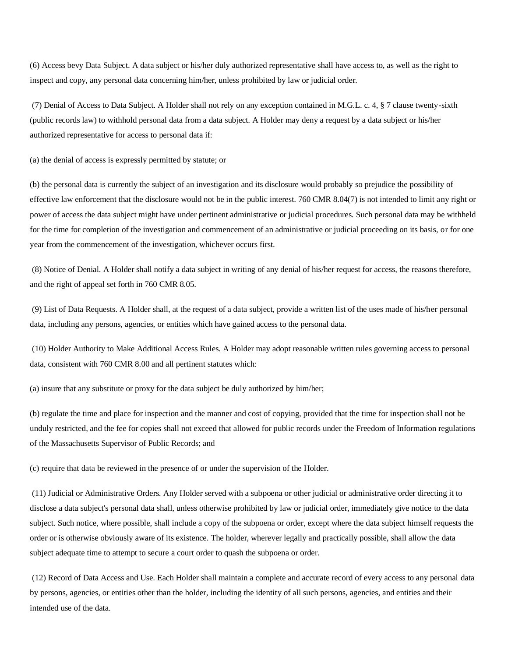(6) Access bevy Data Subject. A data subject or his/her duly authorized representative shall have access to, as well as the right to inspect and copy, any personal data concerning him/her, unless prohibited by law or judicial order.

(7) Denial of Access to Data Subject. A Holder shall not rely on any exception contained in M.G.L. c. 4, § 7 clause twenty-sixth (public records law) to withhold personal data from a data subject. A Holder may deny a request by a data subject or his/her authorized representative for access to personal data if:

(a) the denial of access is expressly permitted by statute; or

(b) the personal data is currently the subject of an investigation and its disclosure would probably so prejudice the possibility of effective law enforcement that the disclosure would not be in the public interest. 760 CMR 8.04(7) is not intended to limit any right or power of access the data subject might have under pertinent administrative or judicial procedures. Such personal data may be withheld for the time for completion of the investigation and commencement of an administrative or judicial proceeding on its basis, or for one year from the commencement of the investigation, whichever occurs first.

(8) Notice of Denial. A Holder shall notify a data subject in writing of any denial of his/her request for access, the reasons therefore, and the right of appeal set forth in 760 CMR 8.05.

(9) List of Data Requests. A Holder shall, at the request of a data subject, provide a written list of the uses made of his/her personal data, including any persons, agencies, or entities which have gained access to the personal data.

(10) Holder Authority to Make Additional Access Rules. A Holder may adopt reasonable written rules governing access to personal data, consistent with 760 CMR 8.00 and all pertinent statutes which:

(a) insure that any substitute or proxy for the data subject be duly authorized by him/her;

(b) regulate the time and place for inspection and the manner and cost of copying, provided that the time for inspection shall not be unduly restricted, and the fee for copies shall not exceed that allowed for public records under the Freedom of Information regulations of the Massachusetts Supervisor of Public Records; and

(c) require that data be reviewed in the presence of or under the supervision of the Holder.

(11) Judicial or Administrative Orders. Any Holder served with a subpoena or other judicial or administrative order directing it to disclose a data subject's personal data shall, unless otherwise prohibited by law or judicial order, immediately give notice to the data subject. Such notice, where possible, shall include a copy of the subpoena or order, except where the data subject himself requests the order or is otherwise obviously aware of its existence. The holder, wherever legally and practically possible, shall allow the data subject adequate time to attempt to secure a court order to quash the subpoena or order.

(12) Record of Data Access and Use. Each Holder shall maintain a complete and accurate record of every access to any personal data by persons, agencies, or entities other than the holder, including the identity of all such persons, agencies, and entities and their intended use of the data.